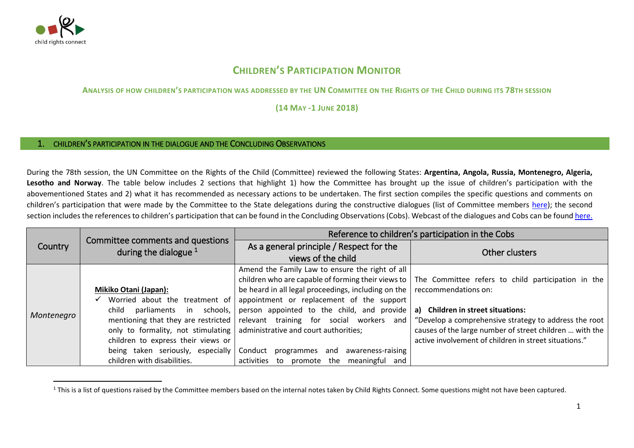

 $\overline{a}$ 

## **CHILDREN'S PARTICIPATION MONITOR**

**ANALYSIS OF HOW CHILDREN'S PARTICIPATION WAS ADDRESSED BY THE UN COMMITTEE ON THE RIGHTS OF THE CHILD DURING ITS 78TH SESSION** 

**(14 MAY -1 JUNE 2018)**

## 1. CHILDREN'S PARTICIPATION IN THE DIALOGUE AND THE CONCLUDING OBSERVATIONS

During the 78th session, the UN Committee on the Rights of the Child (Committee) reviewed the following States: **Argentina, Angola, Russia, Montenegro, Algeria, Lesotho and Norway**. The table below includes 2 sections that highlight 1) how the Committee has brought up the issue of children's participation with the abovementioned States and 2) what it has recommended as necessary actions to be undertaken. The first section compiles the specific questions and comments on children's participation that were made by the Committee to the State delegations during the constructive dialogues (list of Committee members [here\)](http://www.ohchr.org/EN/HRBodies/CRC/Pages/Membership.aspx); the second section includes the references to children's participation that can be found in the Concluding Observations (Cobs). Webcast of the dialogues and Cobs can be foun[d here.](http://webtv.un.org/search?lan=english&cat=CRC&sort=date)

|            |                                                             | Reference to children's participation in the Cobs                          |                                                                                                         |
|------------|-------------------------------------------------------------|----------------------------------------------------------------------------|---------------------------------------------------------------------------------------------------------|
| Country    | Committee comments and questions<br>during the dialogue $1$ | As a general principle / Respect for the                                   |                                                                                                         |
|            |                                                             | views of the child                                                         | Other clusters                                                                                          |
|            |                                                             | Amend the Family Law to ensure the right of all                            |                                                                                                         |
|            |                                                             |                                                                            | children who are capable of forming their views to   The Committee refers to child participation in the |
|            | Mikiko Otani (Japan):                                       | be heard in all legal proceedings, including on the $ $                    | reccommendations on:                                                                                    |
|            | Worried about the treatment of                              | appointment or replacement of the support                                  |                                                                                                         |
|            | schools,<br>child<br>parliaments<br>in                      | person appointed to the child, and provide                                 | a) Children in street situations:                                                                       |
| Montenegro | mentioning that they are restricted                         | relevant training for social workers and                                   | "Develop a comprehensive strategy to address the root                                                   |
|            |                                                             | only to formality, not stimulating   administrative and court authorities; | causes of the large number of street children  with the                                                 |
|            | children to express their views or                          |                                                                            | active involvement of children in street situations."                                                   |
|            | being taken seriously, especially                           | awareness-raising<br>Conduct<br>programmes and                             |                                                                                                         |
|            | children with disabilities.                                 | activities to promote the meaningful and                                   |                                                                                                         |

<sup>&</sup>lt;sup>1</sup> This is a list of questions raised by the Committee members based on the internal notes taken by Child Rights Connect. Some questions might not have been captured.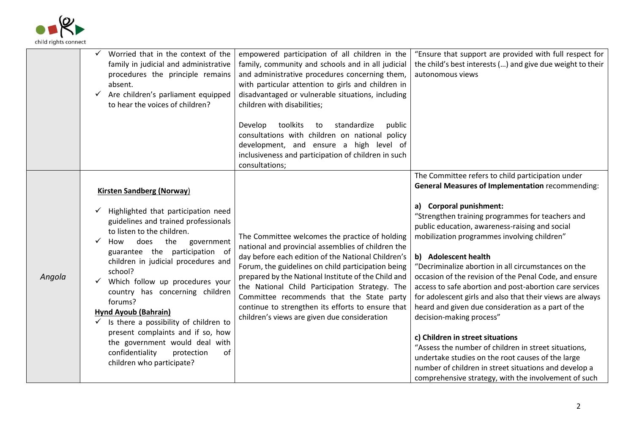

|        | Worried that in the context of the<br>✓<br>family in judicial and administrative<br>procedures the principle remains<br>absent.<br>Are children's parliament equipped<br>$\checkmark$<br>to hear the voices of children?                                                                                                                                                                                                                                                                                                                                                                        | empowered participation of all children in the<br>family, community and schools and in all judicial<br>and administrative procedures concerning them,<br>with particular attention to girls and children in<br>disadvantaged or vulnerable situations, including<br>children with disabilities;<br>toolkits<br>Develop<br>standardize<br>public<br>to<br>consultations with children on national policy<br>development, and ensure a high level of<br>inclusiveness and participation of children in such<br>consultations; | "Ensure that support are provided with full respect for<br>the child's best interests () and give due weight to their<br>autonomous views                                                                                                                                                                                                                                                                                                                                                                                                                                                                                                                                                                                                                                                                                                                                                                         |
|--------|-------------------------------------------------------------------------------------------------------------------------------------------------------------------------------------------------------------------------------------------------------------------------------------------------------------------------------------------------------------------------------------------------------------------------------------------------------------------------------------------------------------------------------------------------------------------------------------------------|-----------------------------------------------------------------------------------------------------------------------------------------------------------------------------------------------------------------------------------------------------------------------------------------------------------------------------------------------------------------------------------------------------------------------------------------------------------------------------------------------------------------------------|-------------------------------------------------------------------------------------------------------------------------------------------------------------------------------------------------------------------------------------------------------------------------------------------------------------------------------------------------------------------------------------------------------------------------------------------------------------------------------------------------------------------------------------------------------------------------------------------------------------------------------------------------------------------------------------------------------------------------------------------------------------------------------------------------------------------------------------------------------------------------------------------------------------------|
| Angola | <b>Kirsten Sandberg (Norway)</b><br>Highlighted that participation need<br>guidelines and trained professionals<br>to listen to the children.<br>$\checkmark$<br>How<br>does<br>the<br>government<br>guarantee the participation of<br>children in judicial procedures and<br>school?<br>Which follow up procedures your<br>country has concerning children<br>forums?<br>Hynd Ayoub (Bahrain)<br>$\checkmark$ Is there a possibility of children to<br>present complaints and if so, how<br>the government would deal with<br>confidentiality<br>protection<br>of<br>children who participate? | The Committee welcomes the practice of holding<br>national and provincial assemblies of children the<br>day before each edition of the National Children's<br>Forum, the guidelines on child participation being<br>prepared by the National Institute of the Child and<br>the National Child Participation Strategy. The<br>Committee recommends that the State party<br>continue to strengthen its efforts to ensure that<br>children's views are given due consideration                                                 | The Committee refers to child participation under<br><b>General Measures of Implementation recommending:</b><br>a) Corporal punishment:<br>"Strengthen training programmes for teachers and<br>public education, awareness-raising and social<br>mobilization programmes involving children"<br>b) Adolescent health<br>"Decriminalize abortion in all circumstances on the<br>occasion of the revision of the Penal Code, and ensure<br>access to safe abortion and post-abortion care services<br>for adolescent girls and also that their views are always<br>heard and given due consideration as a part of the<br>decision-making process"<br>c) Children in street situations<br>"Assess the number of children in street situations,<br>undertake studies on the root causes of the large<br>number of children in street situations and develop a<br>comprehensive strategy, with the involvement of such |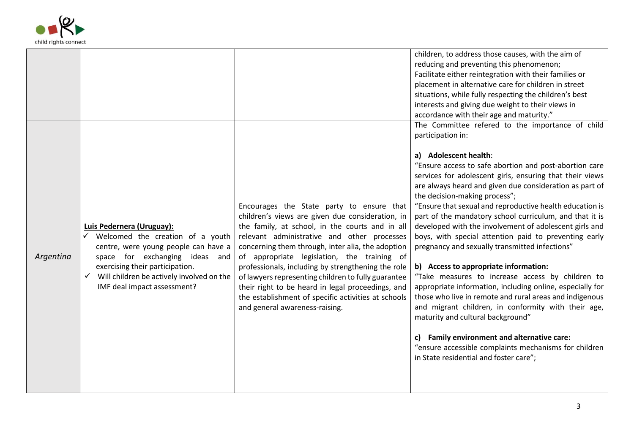

|           |                                                                                                                                                                                                                                                        |                                                                                                                                                                                                                                                                                                                                                                                                                                                                                                                                                                | children, to address those causes, with the aim of<br>reducing and preventing this phenomenon;<br>Facilitate either reintegration with their families or<br>placement in alternative care for children in street<br>situations, while fully respecting the children's best<br>interests and giving due weight to their views in<br>accordance with their age and maturity."                                                                                                                                                                                                                                                                                                                                                                                                                                                                                                                                                                                                                                                                                                     |
|-----------|--------------------------------------------------------------------------------------------------------------------------------------------------------------------------------------------------------------------------------------------------------|----------------------------------------------------------------------------------------------------------------------------------------------------------------------------------------------------------------------------------------------------------------------------------------------------------------------------------------------------------------------------------------------------------------------------------------------------------------------------------------------------------------------------------------------------------------|---------------------------------------------------------------------------------------------------------------------------------------------------------------------------------------------------------------------------------------------------------------------------------------------------------------------------------------------------------------------------------------------------------------------------------------------------------------------------------------------------------------------------------------------------------------------------------------------------------------------------------------------------------------------------------------------------------------------------------------------------------------------------------------------------------------------------------------------------------------------------------------------------------------------------------------------------------------------------------------------------------------------------------------------------------------------------------|
| Argentina | Luis Pedernera (Uruguay):<br>Welcomed the creation of a youth<br>centre, were young people can have a<br>space for exchanging ideas and<br>exercising their participation.<br>Will children be actively involved on the<br>IMF deal impact assessment? | Encourages the State party to ensure that<br>children's views are given due consideration, in<br>the family, at school, in the courts and in all<br>relevant administrative and other processes<br>concerning them through, inter alia, the adoption<br>of appropriate legislation, the training of<br>professionals, including by strengthening the role<br>of lawyers representing children to fully guarantee<br>their right to be heard in legal proceedings, and<br>the establishment of specific activities at schools<br>and general awareness-raising. | The Committee refered to the importance of child<br>participation in:<br>a) Adolescent health:<br>"Ensure access to safe abortion and post-abortion care<br>services for adolescent girls, ensuring that their views<br>are always heard and given due consideration as part of<br>the decision-making process";<br>"Ensure that sexual and reproductive health education is<br>part of the mandatory school curriculum, and that it is<br>developed with the involvement of adolescent girls and<br>boys, with special attention paid to preventing early<br>pregnancy and sexually transmitted infections"<br>b) Access to appropriate information:<br>"Take measures to increase access by children to<br>appropriate information, including online, especially for<br>those who live in remote and rural areas and indigenous<br>and migrant children, in conformity with their age,<br>maturity and cultural background"<br>c) Family environment and alternative care:<br>"ensure accessible complaints mechanisms for children<br>in State residential and foster care"; |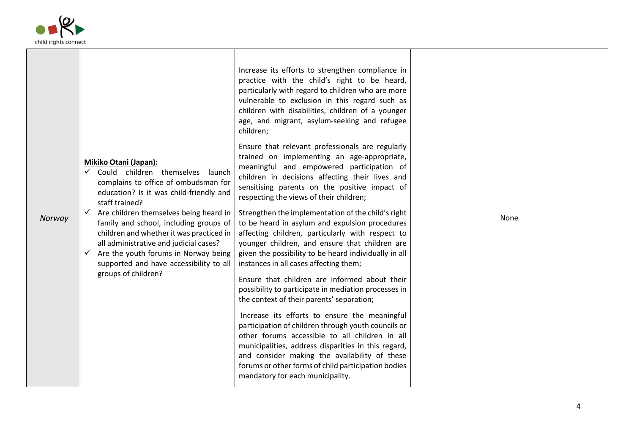

 $\overline{\phantom{a}}$ 

|        |                                                                                                                                                                                                                                                        | Increase its efforts to strengthen compliance in<br>practice with the child's right to be heard,<br>particularly with regard to children who are more<br>vulnerable to exclusion in this regard such as<br>children with disabilities, children of a younger<br>age, and migrant, asylum-seeking and refugee<br>children;<br>Ensure that relevant professionals are regularly<br>trained on implementing an age-appropriate, |      |
|--------|--------------------------------------------------------------------------------------------------------------------------------------------------------------------------------------------------------------------------------------------------------|------------------------------------------------------------------------------------------------------------------------------------------------------------------------------------------------------------------------------------------------------------------------------------------------------------------------------------------------------------------------------------------------------------------------------|------|
| Norway | Mikiko Otani (Japan):<br>$\checkmark$<br>Could children themselves launch<br>complains to office of ombudsman for<br>education? Is it was child-friendly and<br>staff trained?<br>Are children themselves being heard in<br>$\checkmark$               | meaningful and empowered participation of<br>children in decisions affecting their lives and<br>sensitising parents on the positive impact of<br>respecting the views of their children;<br>Strengthen the implementation of the child's right                                                                                                                                                                               | None |
|        | family and school, including groups of<br>children and whether it was practiced in<br>all administrative and judicial cases?<br>Are the youth forums in Norway being<br>$\checkmark$<br>supported and have accessibility to all<br>groups of children? | to be heard in asylum and expulsion procedures<br>affecting children, particularly with respect to<br>younger children, and ensure that children are<br>given the possibility to be heard individually in all<br>instances in all cases affecting them;<br>Ensure that children are informed about their                                                                                                                     |      |
|        |                                                                                                                                                                                                                                                        | possibility to participate in mediation processes in<br>the context of their parents' separation;                                                                                                                                                                                                                                                                                                                            |      |
|        |                                                                                                                                                                                                                                                        | Increase its efforts to ensure the meaningful<br>participation of children through youth councils or<br>other forums accessible to all children in all<br>municipalities, address disparities in this regard,<br>and consider making the availability of these<br>forums or other forms of child participation bodies<br>mandatory for each municipality.                                                                    |      |

─┌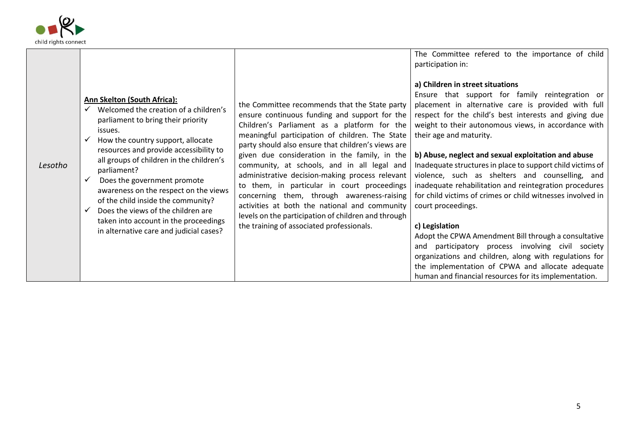

|         |                                                                                                                                                                                                                                                                                                                                                                                                                                                                                                                                |                                                                                                                                                                                                                                                                                                                                                                                                                                                                                                                                                                                                                                                             | The Committee refered to the importance of child<br>participation in:<br>a) Children in street situations<br>Ensure that support for family reintegration or                                                                                                                                                                                                                                                                                                                                                                                                                                                                                                                                                                                                                                                                |
|---------|--------------------------------------------------------------------------------------------------------------------------------------------------------------------------------------------------------------------------------------------------------------------------------------------------------------------------------------------------------------------------------------------------------------------------------------------------------------------------------------------------------------------------------|-------------------------------------------------------------------------------------------------------------------------------------------------------------------------------------------------------------------------------------------------------------------------------------------------------------------------------------------------------------------------------------------------------------------------------------------------------------------------------------------------------------------------------------------------------------------------------------------------------------------------------------------------------------|-----------------------------------------------------------------------------------------------------------------------------------------------------------------------------------------------------------------------------------------------------------------------------------------------------------------------------------------------------------------------------------------------------------------------------------------------------------------------------------------------------------------------------------------------------------------------------------------------------------------------------------------------------------------------------------------------------------------------------------------------------------------------------------------------------------------------------|
| Lesotho | <b>Ann Skelton (South Africa):</b><br>Welcomed the creation of a children's<br>parliament to bring their priority<br>issues.<br>How the country support, allocate<br>resources and provide accessibility to<br>all groups of children in the children's<br>parliament?<br>Does the government promote<br>$\checkmark$<br>awareness on the respect on the views<br>of the child inside the community?<br>Does the views of the children are<br>taken into account in the proceedings<br>in alternative care and judicial cases? | the Committee recommends that the State party<br>ensure continuous funding and support for the<br>Children's Parliament as a platform for the<br>meaningful participation of children. The State<br>party should also ensure that children's views are<br>given due consideration in the family, in the<br>community, at schools, and in all legal and<br>administrative decision-making process relevant<br>to them, in particular in court proceedings<br>concerning them, through awareness-raising<br>activities at both the national and community<br>levels on the participation of children and through<br>the training of associated professionals. | placement in alternative care is provided with full<br>respect for the child's best interests and giving due<br>weight to their autonomous views, in accordance with<br>their age and maturity.<br>b) Abuse, neglect and sexual exploitation and abuse<br>Inadequate structures in place to support child victims of<br>violence, such as shelters and counselling, and<br>inadequate rehabilitation and reintegration procedures<br>for child victims of crimes or child witnesses involved in<br>court proceedings.<br>c) Legislation<br>Adopt the CPWA Amendment Bill through a consultative<br>and participatory process involving civil society<br>organizations and children, along with regulations for<br>the implementation of CPWA and allocate adequate<br>human and financial resources for its implementation. |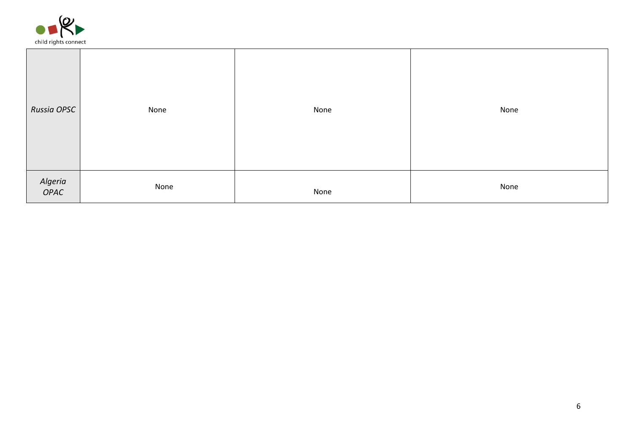

| Russia OPSC     | None | None | None |
|-----------------|------|------|------|
| Algeria<br>OPAC | None | None | None |